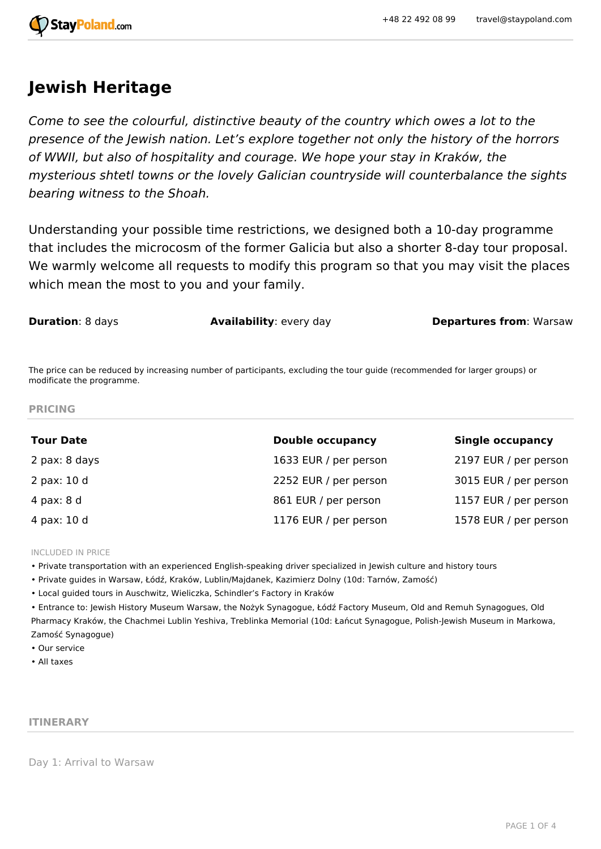

# **Jewish Heritage**

*Come to see the colourful, distinctive beauty of the country which owes a lot to the presence of the Jewish nation. Let's explore together not only the history of the horrors of WWII, but also of hospitality and courage. We hope your stay in Kraków, the mysterious shtetl towns or the lovely Galician countryside will counterbalance the sights bearing witness to the Shoah.*

Understanding your possible time restrictions, we designed both a 10-day programme that includes the microcosm of the former Galicia but also a shorter 8-day tour proposal. We warmly welcome all requests to modify this program so that you may visit the places which mean the most to you and your family.

**Duration**: 8 days **Availability**: every day **Departures from**: Warsaw

The price can be reduced by increasing number of participants, excluding the tour guide (recommended for larger groups) or modificate the programme.

**PRICING**

| <b>Tour Date</b> | <b>Double occupancy</b> | <b>Single occupancy</b> |
|------------------|-------------------------|-------------------------|
| 2 pax: 8 days    | 1633 EUR / per person   | 2197 EUR / per person   |
| 2 pax: 10 d      | 2252 EUR / per person   | 3015 EUR / per person   |
| 4 pax: 8 d       | 861 EUR / per person    | 1157 EUR / per person   |
| 4 pax: 10 d      | 1176 EUR / per person   | 1578 EUR / per person   |

INCLUDED IN PRICE

• Private transportation with an experienced English-speaking driver specialized in Jewish culture and history tours

• Private guides in Warsaw, Łódź, Kraków, Lublin/Majdanek, Kazimierz Dolny (10d: Tarnów, Zamość)

• Local guided tours in Auschwitz, Wieliczka, Schindler's Factory in Kraków

• Entrance to: Jewish History Museum Warsaw, the Nożyk Synagogue, Łódź Factory Museum, Old and Remuh Synagogues, Old Pharmacy Kraków, the Chachmei Lublin Yeshiva, Treblinka Memorial (10d: Łańcut Synagogue, Polish-Jewish Museum in Markowa, Zamość Synagogue)

• Our service

• All taxes

## **ITINERARY**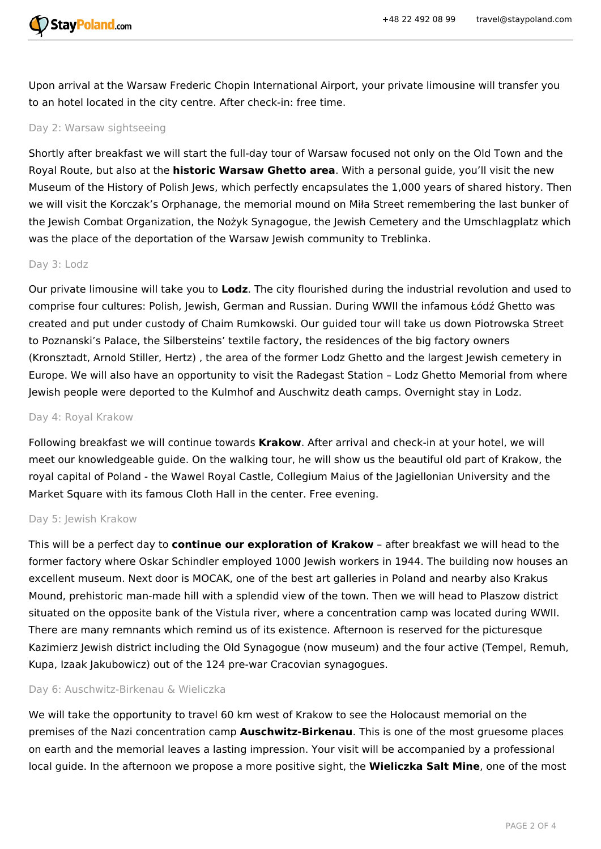

Upon arrival at the Warsaw Frederic Chopin International Airport, your private limousine will transfer you to an hotel located in the city centre. After check-in: free time.

# Day 2: Warsaw sightseeing

Shortly after breakfast we will start the full-day tour of Warsaw focused not only on the Old Town and the Royal Route, but also at the **historic Warsaw Ghetto area**. With a personal guide, you'll visit the new Museum of the History of Polish Jews, which perfectly encapsulates the 1,000 years of shared history. Then we will visit the Korczak's Orphanage, the memorial mound on Miła Street remembering the last bunker of the Jewish Combat Organization, the Nożyk Synagogue, the Jewish Cemetery and the Umschlagplatz which was the place of the deportation of the Warsaw Jewish community to Treblinka.

#### Day 3: Lodz

Our private limousine will take you to **Lodz**. The city flourished during the industrial revolution and used to comprise four cultures: Polish, Jewish, German and Russian. During WWII the infamous Łódź Ghetto was created and put under custody of Chaim Rumkowski. Our guided tour will take us down Piotrowska Street to Poznanski's Palace, the Silbersteins' textile factory, the residences of the big factory owners (Kronsztadt, Arnold Stiller, Hertz) , the area of the former Lodz Ghetto and the largest Jewish cemetery in Europe. We will also have an opportunity to visit the Radegast Station – Lodz Ghetto Memorial from where Jewish people were deported to the Kulmhof and Auschwitz death camps. Overnight stay in Lodz.

#### Day 4: Royal Krakow

Following breakfast we will continue towards **Krakow**. After arrival and check-in at your hotel, we will meet our knowledgeable guide. On the walking tour, he will show us the beautiful old part of Krakow, the royal capital of Poland - the Wawel Royal Castle, Collegium Maius of the Jagiellonian University and the Market Square with its famous Cloth Hall in the center. Free evening.

#### Day 5: Jewish Krakow

This will be a perfect day to **continue our exploration of Krakow** – after breakfast we will head to the former factory where Oskar Schindler employed 1000 Jewish workers in 1944. The building now houses an excellent museum. Next door is MOCAK, one of the best art galleries in Poland and nearby also Krakus Mound, prehistoric man-made hill with a splendid view of the town. Then we will head to Plaszow district situated on the opposite bank of the Vistula river, where a concentration camp was located during WWII. There are many remnants which remind us of its existence. Afternoon is reserved for the picturesque Kazimierz Jewish district including the Old Synagogue (now museum) and the four active (Tempel, Remuh, Kupa, Izaak Jakubowicz) out of the 124 pre-war Cracovian synagogues.

#### Day 6: Auschwitz-Birkenau & Wieliczka

We will take the opportunity to travel 60 km west of Krakow to see the Holocaust memorial on the premises of the Nazi concentration camp **Auschwitz-Birkenau**. This is one of the most gruesome places on earth and the memorial leaves a lasting impression. Your visit will be accompanied by a professional local guide. In the afternoon we propose a more positive sight, the **Wieliczka Salt Mine**, one of the most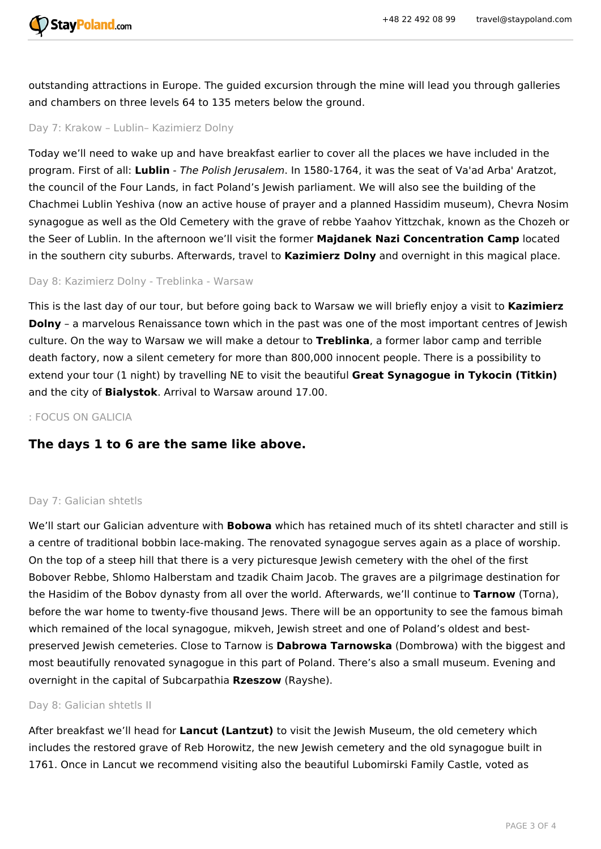

outstanding attractions in Europe. The guided excursion through the mine will lead you through galleries and chambers on three levels 64 to 135 meters below the ground.

# Day 7: Krakow – Lublin– Kazimierz Dolny

Today we'll need to wake up and have breakfast earlier to cover all the places we have included in the program. First of all: **Lublin** - *The Polish Jerusalem*. In 1580-1764, it was the seat of Va'ad Arba' Aratzot, the council of the Four Lands, in fact Poland's Jewish parliament. We will also see the building of the Chachmei Lublin Yeshiva (now an active house of prayer and a planned Hassidim museum), Chevra Nosim synagogue as well as the Old Cemetery with the grave of rebbe Yaahov Yittzchak, known as the Chozeh or the Seer of Lublin. In the afternoon we'll visit the former **Majdanek Nazi Concentration Camp** located in the southern city suburbs. Afterwards, travel to **Kazimierz Dolny** and overnight in this magical place.

#### Day 8: Kazimierz Dolny - Treblinka - Warsaw

This is the last day of our tour, but before going back to Warsaw we will briefly enjoy a visit to **Kazimierz Dolny** - a marvelous Renaissance town which in the past was one of the most important centres of Jewish culture. On the way to Warsaw we will make a detour to **Treblinka**, a former labor camp and terrible death factory, now a silent cemetery for more than 800,000 innocent people. There is a possibility to extend your tour (1 night) by travelling NE to visit the beautiful **Great Synagogue in Tykocin (Titkin)** and the city of **Bialystok**. Arrival to Warsaw around 17.00.

# : FOCUS ON GALICIA

# **The days 1 to 6 are the same like above.**

## Day 7: Galician shtetls

We'll start our Galician adventure with **Bobowa** which has retained much of its shtetl character and still is a centre of traditional bobbin lace-making. The renovated synagogue serves again as a place of worship. On the top of a steep hill that there is a very picturesque Jewish cemetery with the ohel of the first Bobover Rebbe, Shlomo Halberstam and tzadik Chaim Jacob. The graves are a pilgrimage destination for the Hasidim of the Bobov dynasty from all over the world. Afterwards, we'll continue to **Tarnow** (Torna), before the war home to twenty-five thousand Jews. There will be an opportunity to see the famous bimah which remained of the local synagogue, mikveh, Jewish street and one of Poland's oldest and bestpreserved Jewish cemeteries. Close to Tarnow is **Dabrowa Tarnowska** (Dombrowa) with the biggest and most beautifully renovated synagogue in this part of Poland. There's also a small museum. Evening and overnight in the capital of Subcarpathia **Rzeszow** (Rayshe).

## Day 8: Galician shtetls II

After breakfast we'll head for **Lancut (Lantzut)** to visit the Jewish Museum, the old cemetery which includes the restored grave of Reb Horowitz, the new Jewish cemetery and the old synagogue built in 1761. Once in Lancut we recommend visiting also the beautiful Lubomirski Family Castle, voted as